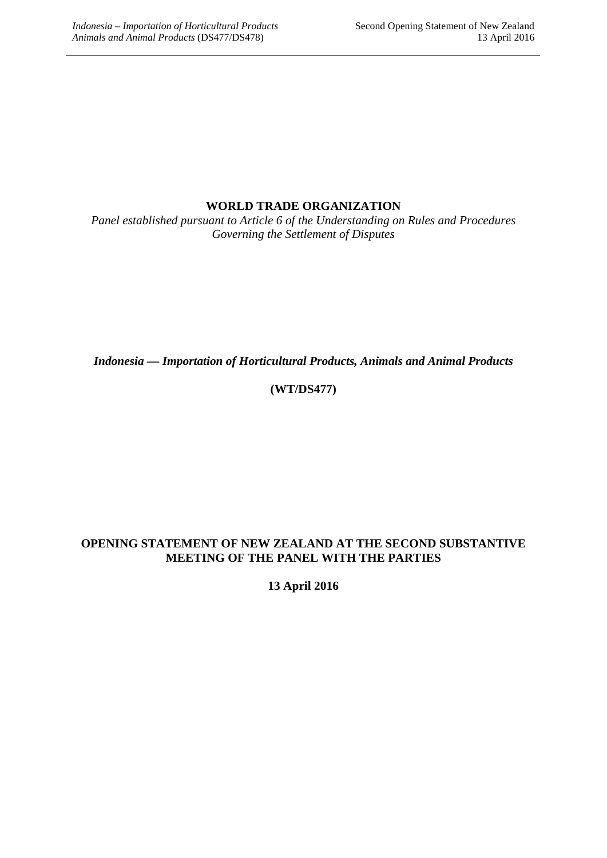### **WORLD TRADE ORGANIZATION**

*Panel established pursuant to Article 6 of the Understanding on Rules and Procedures Governing the Settlement of Disputes*

*Indonesia — Importation of Horticultural Products, Animals and Animal Products*

## **(WT/DS477)**

#### **OPENING STATEMENT OF NEW ZEALAND AT THE SECOND SUBSTANTIVE MEETING OF THE PANEL WITH THE PARTIES**

**13 April 2016**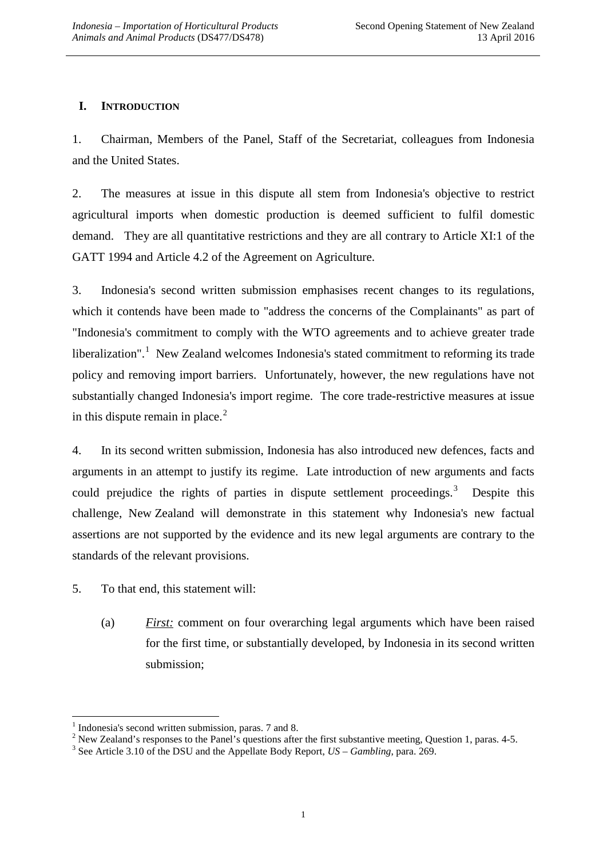## **I. INTRODUCTION**

1. Chairman, Members of the Panel, Staff of the Secretariat, colleagues from Indonesia and the United States.

2. The measures at issue in this dispute all stem from Indonesia's objective to restrict agricultural imports when domestic production is deemed sufficient to fulfil domestic demand. They are all quantitative restrictions and they are all contrary to Article XI:1 of the GATT 1994 and Article 4.2 of the Agreement on Agriculture.

3. Indonesia's second written submission emphasises recent changes to its regulations, which it contends have been made to "address the concerns of the Complainants" as part of "Indonesia's commitment to comply with the WTO agreements and to achieve greater trade liberalization".<sup>[1](#page-1-0)</sup> New Zealand welcomes Indonesia's stated commitment to reforming its trade policy and removing import barriers. Unfortunately, however, the new regulations have not substantially changed Indonesia's import regime. The core trade-restrictive measures at issue in this dispute remain in place. $2$ 

4. In its second written submission, Indonesia has also introduced new defences, facts and arguments in an attempt to justify its regime. Late introduction of new arguments and facts could prejudice the rights of parties in dispute settlement proceedings.<sup>[3](#page-1-2)</sup> Despite this challenge, New Zealand will demonstrate in this statement why Indonesia's new factual assertions are not supported by the evidence and its new legal arguments are contrary to the standards of the relevant provisions.

- 5. To that end, this statement will:
	- (a) *First:* comment on four overarching legal arguments which have been raised for the first time, or substantially developed, by Indonesia in its second written submission;

<span id="page-1-1"></span><span id="page-1-0"></span><sup>&</sup>lt;sup>1</sup> Indonesia's second written submission, paras. 7 and 8.<br><sup>2</sup> New Zealand's responses to the Panel's questions after the first substantive meeting, Question 1, paras. 4-5.<br><sup>3</sup> See Article 3.10 of the DSU and the Appellat

<span id="page-1-2"></span>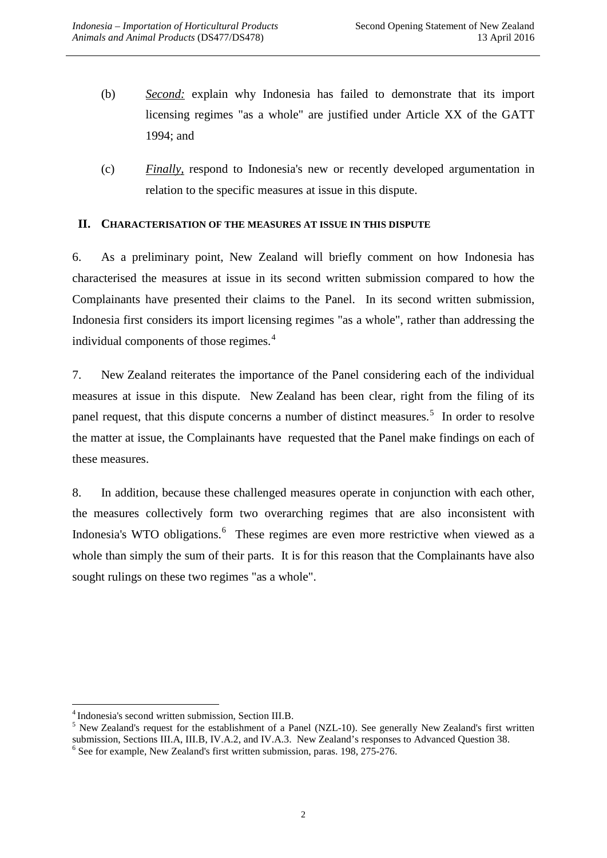- (b) *Second:* explain why Indonesia has failed to demonstrate that its import licensing regimes "as a whole" are justified under Article XX of the GATT 1994; and
- (c) *Finally,* respond to Indonesia's new or recently developed argumentation in relation to the specific measures at issue in this dispute.

#### **II. CHARACTERISATION OF THE MEASURES AT ISSUE IN THIS DISPUTE**

6. As a preliminary point, New Zealand will briefly comment on how Indonesia has characterised the measures at issue in its second written submission compared to how the Complainants have presented their claims to the Panel. In its second written submission, Indonesia first considers its import licensing regimes "as a whole", rather than addressing the individual components of those regimes.<sup>[4](#page-2-0)</sup>

7. New Zealand reiterates the importance of the Panel considering each of the individual measures at issue in this dispute. New Zealand has been clear, right from the filing of its panel request, that this dispute concerns a number of distinct measures.<sup>[5](#page-2-1)</sup> In order to resolve the matter at issue, the Complainants have requested that the Panel make findings on each of these measures.

8. In addition, because these challenged measures operate in conjunction with each other, the measures collectively form two overarching regimes that are also inconsistent with Indonesia's WTO obligations.<sup>[6](#page-2-2)</sup> These regimes are even more restrictive when viewed as a whole than simply the sum of their parts. It is for this reason that the Complainants have also sought rulings on these two regimes "as a whole".

<span id="page-2-2"></span><span id="page-2-1"></span><span id="page-2-0"></span><sup>&</sup>lt;sup>4</sup> Indonesia's second written submission, Section III.B.<br><sup>5</sup> New Zealand's request for the establishment of a Panel (NZL-10). See generally New Zealand's first written submission, Sections III.A, III.B, IV.A.2, and IV.A.3. New Zealand's responses to Advanced Question 38. <sup>6</sup> See for example, New Zealand's first written submission, paras. 198, 275-276.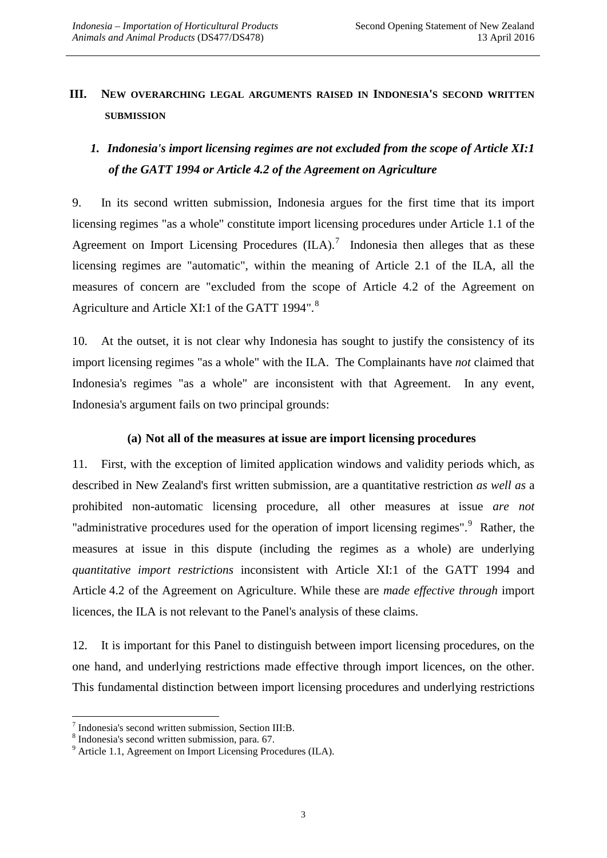## **III. NEW OVERARCHING LEGAL ARGUMENTS RAISED IN INDONESIA'S SECOND WRITTEN SUBMISSION**

# *1. Indonesia's import licensing regimes are not excluded from the scope of Article XI:1 of the GATT 1994 or Article 4.2 of the Agreement on Agriculture*

9. In its second written submission, Indonesia argues for the first time that its import licensing regimes "as a whole" constitute import licensing procedures under Article 1.1 of the Agreement on Import Licensing Procedures  $(II, A)$ .<sup>[7](#page-3-0)</sup> Indonesia then alleges that as these licensing regimes are "automatic", within the meaning of Article 2.1 of the ILA, all the measures of concern are "excluded from the scope of Article 4.2 of the Agreement on Agriculture and Article XI:1 of the GATT 1994".<sup>[8](#page-3-1)</sup>

10. At the outset, it is not clear why Indonesia has sought to justify the consistency of its import licensing regimes "as a whole" with the ILA. The Complainants have *not* claimed that Indonesia's regimes "as a whole" are inconsistent with that Agreement. In any event, Indonesia's argument fails on two principal grounds:

### **(a) Not all of the measures at issue are import licensing procedures**

11. First, with the exception of limited application windows and validity periods which, as described in New Zealand's first written submission, are a quantitative restriction *as well as* a prohibited non-automatic licensing procedure, all other measures at issue *are not* "administrative procedures used for the operation of import licensing regimes".<sup>[9](#page-3-2)</sup> Rather, the measures at issue in this dispute (including the regimes as a whole) are underlying *quantitative import restrictions* inconsistent with Article XI:1 of the GATT 1994 and Article 4.2 of the Agreement on Agriculture. While these are *made effective through* import licences, the ILA is not relevant to the Panel's analysis of these claims.

12. It is important for this Panel to distinguish between import licensing procedures, on the one hand, and underlying restrictions made effective through import licences, on the other. This fundamental distinction between import licensing procedures and underlying restrictions

<span id="page-3-0"></span> $^7$  Indonesia's second written submission, Section III:B.  $^8$  Indonesia's second written submission, para. 67.

<span id="page-3-2"></span><span id="page-3-1"></span><sup>&</sup>lt;sup>9</sup> Article 1.1, Agreement on Import Licensing Procedures (ILA).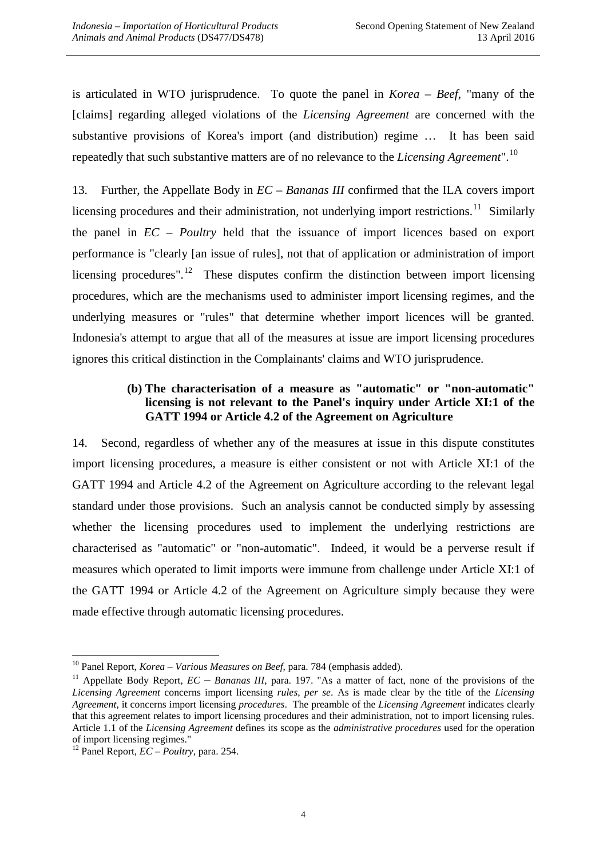is articulated in WTO jurisprudence. To quote the panel in *Korea – Beef*, "many of the [claims] regarding alleged violations of the *Licensing Agreement* are concerned with the substantive provisions of Korea's import (and distribution) regime … It has been said repeatedly that such substantive matters are of no relevance to the *Licensing Agreement*". [10](#page-4-0)

13. Further, the Appellate Body in *EC – Bananas III* confirmed that the ILA covers import licensing procedures and their administration, not underlying import restrictions.<sup>[11](#page-4-1)</sup> Similarly the panel in *EC – Poultry* held that the issuance of import licences based on export performance is "clearly [an issue of rules], not that of application or administration of import licensing procedures".<sup>12</sup> These disputes confirm the distinction between import licensing procedures, which are the mechanisms used to administer import licensing regimes, and the underlying measures or "rules" that determine whether import licences will be granted. Indonesia's attempt to argue that all of the measures at issue are import licensing procedures ignores this critical distinction in the Complainants' claims and WTO jurisprudence.

#### **(b) The characterisation of a measure as "automatic" or "non-automatic" licensing is not relevant to the Panel's inquiry under Article XI:1 of the GATT 1994 or Article 4.2 of the Agreement on Agriculture**

14. Second, regardless of whether any of the measures at issue in this dispute constitutes import licensing procedures, a measure is either consistent or not with Article XI:1 of the GATT 1994 and Article 4.2 of the Agreement on Agriculture according to the relevant legal standard under those provisions. Such an analysis cannot be conducted simply by assessing whether the licensing procedures used to implement the underlying restrictions are characterised as "automatic" or "non-automatic". Indeed, it would be a perverse result if measures which operated to limit imports were immune from challenge under Article XI:1 of the GATT 1994 or Article 4.2 of the Agreement on Agriculture simply because they were made effective through automatic licensing procedures.

<span id="page-4-0"></span><sup>&</sup>lt;sup>10</sup> Panel Report, *Korea – Various Measures on Beef*, para. 784 (emphasis added).

<span id="page-4-1"></span><sup>&</sup>lt;sup>11</sup> Appellate Body Report, *EC – Bananas III*, para. 197. "As a matter of fact, none of the provisions of the *Licensing Agreement* concerns import licensing *rules*, *per se*. As is made clear by the title of the *Licensing Agreement*, it concerns import licensing *procedures*. The preamble of the *Licensing Agreement* indicates clearly that this agreement relates to import licensing procedures and their administration, not to import licensing rules. Article 1.1 of the *Licensing Agreement* defines its scope as the *administrative procedures* used for the operation

<span id="page-4-2"></span><sup>&</sup>lt;sup>12</sup> Panel Report,  $\overline{EC}$  – *Poultry*, para. 254.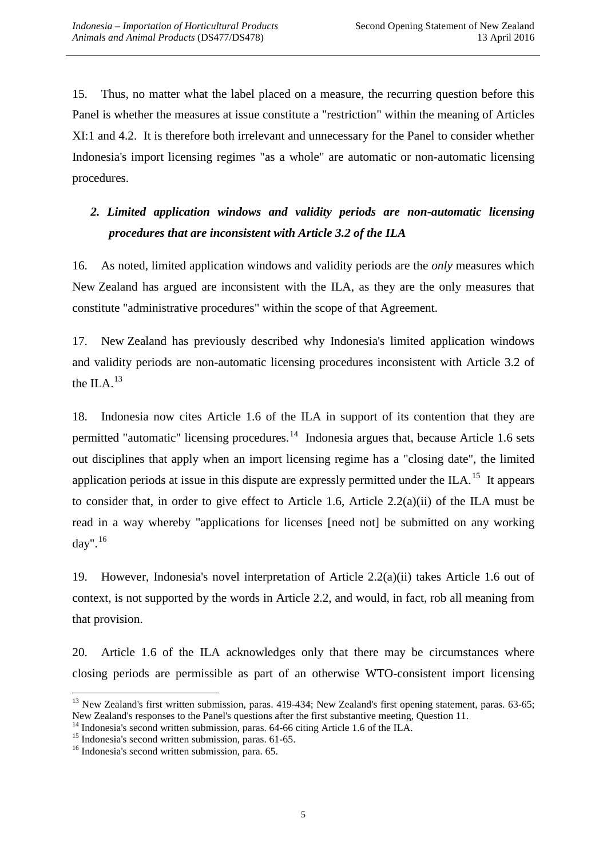15. Thus, no matter what the label placed on a measure, the recurring question before this Panel is whether the measures at issue constitute a "restriction" within the meaning of Articles XI:1 and 4.2. It is therefore both irrelevant and unnecessary for the Panel to consider whether Indonesia's import licensing regimes "as a whole" are automatic or non-automatic licensing procedures.

# *2. Limited application windows and validity periods are non-automatic licensing procedures that are inconsistent with Article 3.2 of the ILA*

16. As noted, limited application windows and validity periods are the *only* measures which New Zealand has argued are inconsistent with the ILA, as they are the only measures that constitute "administrative procedures" within the scope of that Agreement.

17. New Zealand has previously described why Indonesia's limited application windows and validity periods are non-automatic licensing procedures inconsistent with Article 3.2 of the ILA. $^{13}$  $^{13}$  $^{13}$ 

18. Indonesia now cites Article 1.6 of the ILA in support of its contention that they are permitted "automatic" licensing procedures.<sup>[14](#page-5-1)</sup> Indonesia argues that, because Article 1.6 sets out disciplines that apply when an import licensing regime has a "closing date", the limited application periods at issue in this dispute are expressly permitted under the ILA.<sup>[15](#page-5-2)</sup> It appears to consider that, in order to give effect to Article 1.6, Article 2.2(a)(ii) of the ILA must be read in a way whereby "applications for licenses [need not] be submitted on any working day". [16](#page-5-3)

19. However, Indonesia's novel interpretation of Article 2.2(a)(ii) takes Article 1.6 out of context, is not supported by the words in Article 2.2, and would, in fact, rob all meaning from that provision.

20. Article 1.6 of the ILA acknowledges only that there may be circumstances where closing periods are permissible as part of an otherwise WTO-consistent import licensing

<span id="page-5-0"></span><sup>&</sup>lt;sup>13</sup> New Zealand's first written submission, paras. 419-434; New Zealand's first opening statement, paras. 63-65; New Zealand's responses to the Panel's questions after the first substantive meeting, Question 11.

<span id="page-5-1"></span><sup>&</sup>lt;sup>14</sup> Indonesia's second written submission, paras. 64-66 citing Article 1.6 of the ILA.<br><sup>15</sup> Indonesia's second written submission, paras. 61-65.<br><sup>16</sup> Indonesia's second written submission, para. 65.

<span id="page-5-3"></span><span id="page-5-2"></span>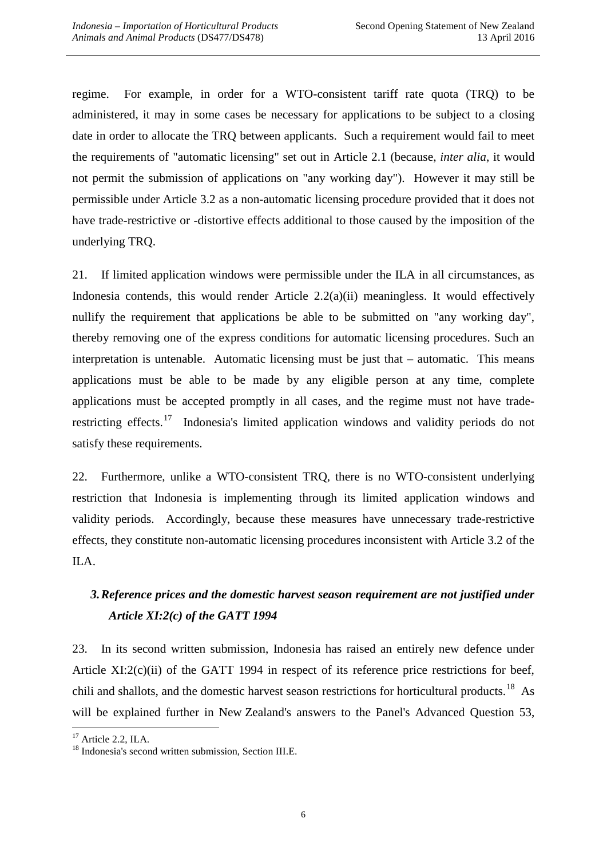regime. For example, in order for a WTO-consistent tariff rate quota (TRQ) to be administered, it may in some cases be necessary for applications to be subject to a closing date in order to allocate the TRQ between applicants. Such a requirement would fail to meet the requirements of "automatic licensing" set out in Article 2.1 (because, *inter alia*, it would not permit the submission of applications on "any working day"). However it may still be permissible under Article 3.2 as a non-automatic licensing procedure provided that it does not have trade-restrictive or -distortive effects additional to those caused by the imposition of the underlying TRQ.

21. If limited application windows were permissible under the ILA in all circumstances, as Indonesia contends, this would render Article 2.2(a)(ii) meaningless. It would effectively nullify the requirement that applications be able to be submitted on "any working day", thereby removing one of the express conditions for automatic licensing procedures. Such an interpretation is untenable. Automatic licensing must be just that – automatic. This means applications must be able to be made by any eligible person at any time, complete applications must be accepted promptly in all cases, and the regime must not have traderestricting effects.<sup>17</sup> Indonesia's limited application windows and validity periods do not satisfy these requirements.

22. Furthermore, unlike a WTO-consistent TRQ, there is no WTO-consistent underlying restriction that Indonesia is implementing through its limited application windows and validity periods. Accordingly, because these measures have unnecessary trade-restrictive effects, they constitute non-automatic licensing procedures inconsistent with Article 3.2 of the ILA.

# *3.Reference prices and the domestic harvest season requirement are not justified under Article XI:2(c) of the GATT 1994*

23. In its second written submission, Indonesia has raised an entirely new defence under Article XI:2(c)(ii) of the GATT 1994 in respect of its reference price restrictions for beef, chili and shallots, and the domestic harvest season restrictions for horticultural products.<sup>[18](#page-6-1)</sup> As will be explained further in New Zealand's answers to the Panel's Advanced Question 53,

<span id="page-6-1"></span><span id="page-6-0"></span>

<sup>&</sup>lt;sup>17</sup> Article 2.2, ILA.  $18 \text{ Indonesia's second written submission, Section III.E.}$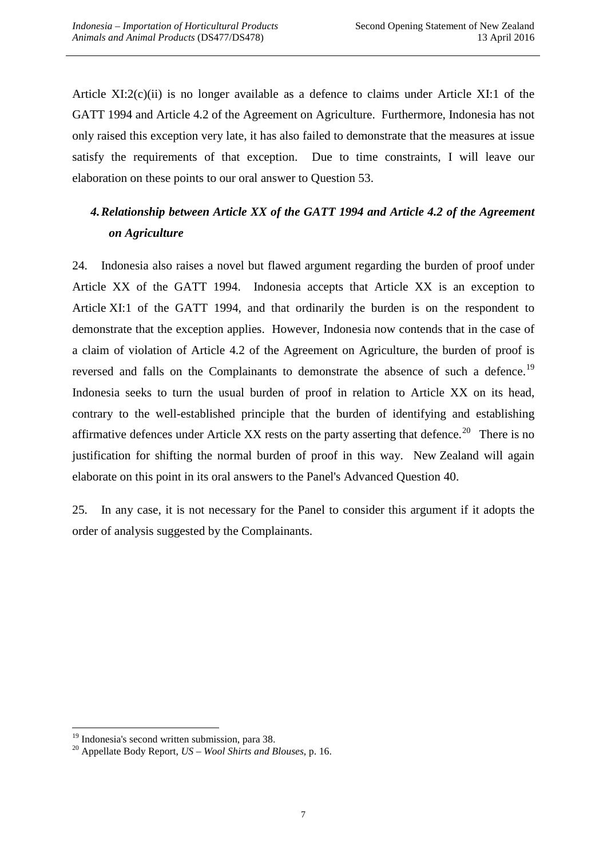Article XI:2(c)(ii) is no longer available as a defence to claims under Article XI:1 of the GATT 1994 and Article 4.2 of the Agreement on Agriculture. Furthermore, Indonesia has not only raised this exception very late, it has also failed to demonstrate that the measures at issue satisfy the requirements of that exception. Due to time constraints, I will leave our elaboration on these points to our oral answer to Question 53.

# *4.Relationship between Article XX of the GATT 1994 and Article 4.2 of the Agreement on Agriculture*

24. Indonesia also raises a novel but flawed argument regarding the burden of proof under Article XX of the GATT 1994. Indonesia accepts that Article XX is an exception to Article XI:1 of the GATT 1994, and that ordinarily the burden is on the respondent to demonstrate that the exception applies. However, Indonesia now contends that in the case of a claim of violation of Article 4.2 of the Agreement on Agriculture, the burden of proof is reversed and falls on the Complainants to demonstrate the absence of such a defence.<sup>[19](#page-7-0)</sup> Indonesia seeks to turn the usual burden of proof in relation to Article XX on its head, contrary to the well-established principle that the burden of identifying and establishing affirmative defences under Article XX rests on the party asserting that defence.<sup>[20](#page-7-1)</sup> There is no justification for shifting the normal burden of proof in this way. New Zealand will again elaborate on this point in its oral answers to the Panel's Advanced Question 40.

25. In any case, it is not necessary for the Panel to consider this argument if it adopts the order of analysis suggested by the Complainants.

<span id="page-7-1"></span><span id="page-7-0"></span><sup>19</sup> Indonesia's second written submission, para 38. <sup>20</sup> Appellate Body Report, *US – Wool Shirts and Blouses*, p. 16.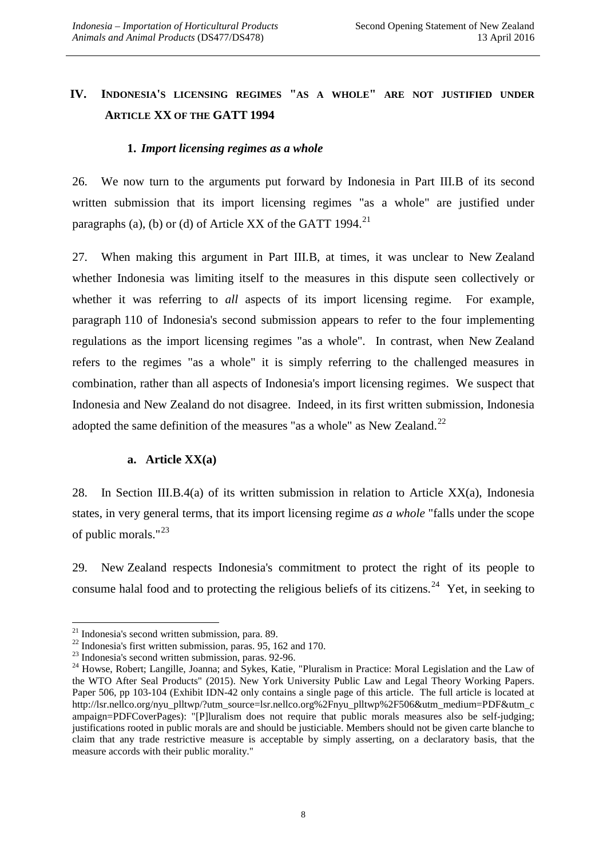## **IV. INDONESIA'S LICENSING REGIMES "AS A WHOLE" ARE NOT JUSTIFIED UNDER ARTICLE XX OF THE GATT 1994**

#### **1.** *Import licensing regimes as a whole*

26. We now turn to the arguments put forward by Indonesia in Part III.B of its second written submission that its import licensing regimes "as a whole" are justified under paragraphs (a), (b) or (d) of Article XX of the GATT 1994.<sup>21</sup>

27. When making this argument in Part III.B, at times, it was unclear to New Zealand whether Indonesia was limiting itself to the measures in this dispute seen collectively or whether it was referring to *all* aspects of its import licensing regime. For example, paragraph 110 of Indonesia's second submission appears to refer to the four implementing regulations as the import licensing regimes "as a whole". In contrast, when New Zealand refers to the regimes "as a whole" it is simply referring to the challenged measures in combination, rather than all aspects of Indonesia's import licensing regimes. We suspect that Indonesia and New Zealand do not disagree. Indeed, in its first written submission, Indonesia adopted the same definition of the measures "as a whole" as New Zealand. $^{22}$ 

#### **a. Article XX(a)**

28. In Section III.B.4(a) of its written submission in relation to Article XX(a), Indonesia states, in very general terms, that its import licensing regime *as a whole* "falls under the scope of public morals."[23](#page-8-2)

29. New Zealand respects Indonesia's commitment to protect the right of its people to consume halal food and to protecting the religious beliefs of its citizens.<sup>[24](#page-8-3)</sup> Yet, in seeking to

<span id="page-8-1"></span>

<span id="page-8-3"></span><span id="page-8-2"></span>

<span id="page-8-0"></span><sup>&</sup>lt;sup>21</sup> Indonesia's second written submission, para. 89.<br>
<sup>22</sup> Indonesia's first written submission, paras. 95, 162 and 170.<br>
<sup>23</sup> Indonesia's second written submission, paras. 92-96.<br>
<sup>24</sup> Howse. Robert; Langille, Joanna; a the WTO After Seal Products" (2015). New York University Public Law and Legal Theory Working Papers. Paper 506, pp 103-104 (Exhibit IDN-42 only contains a single page of this article. The full article is located at [http://lsr.nellco.org/nyu\\_plltwp/?utm\\_source=lsr.nellco.org%2Fnyu\\_plltwp%2F506&utm\\_medium=PDF&utm\\_c](http://lsr.nellco.org/nyu_plltwp/?utm_source=lsr.nellco.org%2Fnyu_plltwp%2F506&utm_medium=PDF&utm_campaign=PDFCoverPages) [ampaign=PDFCoverPages\)](http://lsr.nellco.org/nyu_plltwp/?utm_source=lsr.nellco.org%2Fnyu_plltwp%2F506&utm_medium=PDF&utm_campaign=PDFCoverPages): "[P]luralism does not require that public morals measures also be self-judging; justifications rooted in public morals are and should be justiciable. Members should not be given carte blanche to claim that any trade restrictive measure is acceptable by simply asserting, on a declaratory basis, that the measure accords with their public morality."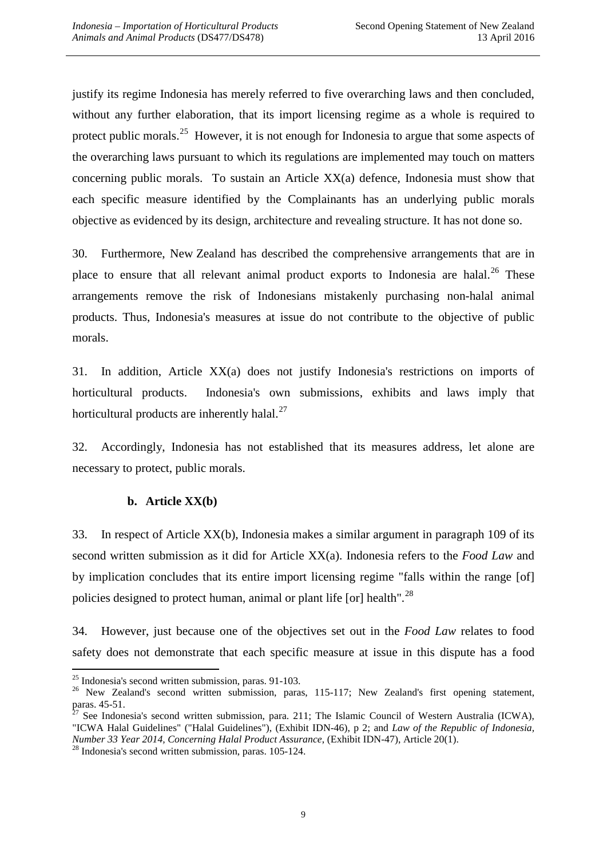justify its regime Indonesia has merely referred to five overarching laws and then concluded, without any further elaboration, that its import licensing regime as a whole is required to protect public morals.<sup>[25](#page-9-0)</sup> However, it is not enough for Indonesia to argue that some aspects of the overarching laws pursuant to which its regulations are implemented may touch on matters concerning public morals. To sustain an Article XX(a) defence, Indonesia must show that each specific measure identified by the Complainants has an underlying public morals objective as evidenced by its design, architecture and revealing structure. It has not done so.

30. Furthermore, New Zealand has described the comprehensive arrangements that are in place to ensure that all relevant animal product exports to Indonesia are halal.<sup>[26](#page-9-1)</sup> These arrangements remove the risk of Indonesians mistakenly purchasing non-halal animal products. Thus, Indonesia's measures at issue do not contribute to the objective of public morals.

31. In addition, Article XX(a) does not justify Indonesia's restrictions on imports of horticultural products. Indonesia's own submissions, exhibits and laws imply that horticultural products are inherently halal.<sup>[27](#page-9-2)</sup>

32. Accordingly, Indonesia has not established that its measures address, let alone are necessary to protect, public morals.

#### **b. Article XX(b)**

33. In respect of Article XX(b), Indonesia makes a similar argument in paragraph 109 of its second written submission as it did for Article XX(a). Indonesia refers to the *Food Law* and by implication concludes that its entire import licensing regime "falls within the range [of] policies designed to protect human, animal or plant life [or] health".<sup>[28](#page-9-3)</sup>

34. However, just because one of the objectives set out in the *Food Law* relates to food safety does not demonstrate that each specific measure at issue in this dispute has a food

<span id="page-9-0"></span><sup>&</sup>lt;sup>25</sup> Indonesia's second written submission, paras. 91-103.<br><sup>26</sup> New Zealand's second written submission, paras, 115-117; New Zealand's first opening statement,

<span id="page-9-2"></span><span id="page-9-1"></span>paras. 45-51.<br><sup>27</sup> See Indonesia's second written submission, para. 211; The Islamic Council of Western Australia (ICWA), "ICWA Halal Guidelines" ("Halal Guidelines"), (Exhibit IDN-46), p 2; and *Law of the Republic of Indonesia, Number 33 Year 2014, Concerning Halal Product Assurance*, (Exhibit IDN-47), Article 20(1). <sup>28</sup> Indonesia's second written submission, paras. 105-124.

<span id="page-9-3"></span>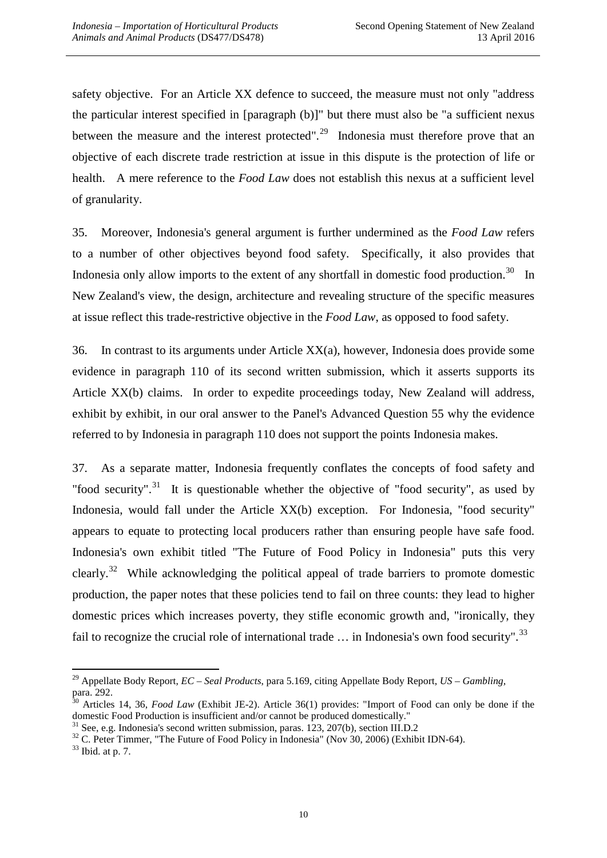safety objective. For an Article XX defence to succeed, the measure must not only "address the particular interest specified in [paragraph (b)]" but there must also be "a sufficient nexus between the measure and the interest protected". $^{29}$  $^{29}$  $^{29}$  Indonesia must therefore prove that an objective of each discrete trade restriction at issue in this dispute is the protection of life or health. A mere reference to the *Food Law* does not establish this nexus at a sufficient level of granularity.

35. Moreover, Indonesia's general argument is further undermined as the *Food Law* refers to a number of other objectives beyond food safety. Specifically, it also provides that Indonesia only allow imports to the extent of any shortfall in domestic food production.<sup>[30](#page-10-1)</sup> In New Zealand's view, the design, architecture and revealing structure of the specific measures at issue reflect this trade-restrictive objective in the *Food Law*, as opposed to food safety.

36. In contrast to its arguments under Article XX(a), however, Indonesia does provide some evidence in paragraph 110 of its second written submission, which it asserts supports its Article XX(b) claims. In order to expedite proceedings today, New Zealand will address, exhibit by exhibit, in our oral answer to the Panel's Advanced Question 55 why the evidence referred to by Indonesia in paragraph 110 does not support the points Indonesia makes.

37. As a separate matter, Indonesia frequently conflates the concepts of food safety and "food security".<sup>[31](#page-10-2)</sup> It is questionable whether the objective of "food security", as used by Indonesia, would fall under the Article XX(b) exception. For Indonesia, "food security" appears to equate to protecting local producers rather than ensuring people have safe food. Indonesia's own exhibit titled "The Future of Food Policy in Indonesia" puts this very clearly.<sup>[32](#page-10-3)</sup> While acknowledging the political appeal of trade barriers to promote domestic production, the paper notes that these policies tend to fail on three counts: they lead to higher domestic prices which increases poverty, they stifle economic growth and, "ironically, they fail to recognize the crucial role of international trade  $\dots$  in Indonesia's own food security".<sup>[33](#page-10-4)</sup>

 <sup>29</sup> Appellate Body Report, *EC – Seal Products*, para 5.169, citing Appellate Body Report, *US – Gambling*,

<span id="page-10-1"></span><span id="page-10-0"></span>para. 292.<br><sup>30</sup> Articles 14, 36, *Food Law* (Exhibit JE-2). Article 36(1) provides: "Import of Food can only be done if the domestic Food Production is insufficient and/or cannot be produced domestically."

<span id="page-10-3"></span><span id="page-10-2"></span><sup>&</sup>lt;sup>31</sup> See, e.g. Indonesia's second written submission, paras. 123, 207(b), section III.D.2<br><sup>32</sup> C. Peter Timmer, "The Future of Food Policy in Indonesia" (Nov 30, 2006) (Exhibit IDN-64).<br><sup>33</sup> Ibid. at p. 7.

<span id="page-10-4"></span>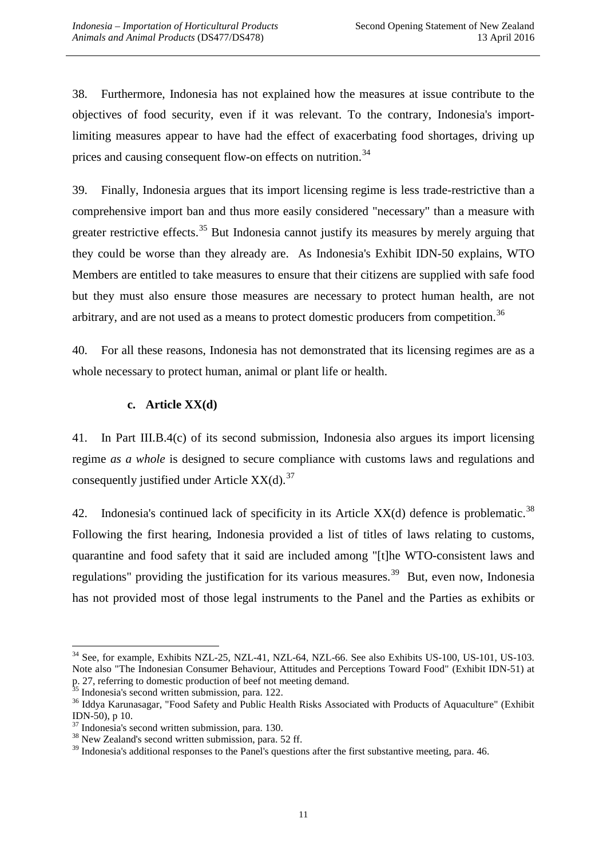38. Furthermore, Indonesia has not explained how the measures at issue contribute to the objectives of food security, even if it was relevant. To the contrary, Indonesia's importlimiting measures appear to have had the effect of exacerbating food shortages, driving up prices and causing consequent flow-on effects on nutrition.<sup>[34](#page-11-0)</sup>

39. Finally, Indonesia argues that its import licensing regime is less trade-restrictive than a comprehensive import ban and thus more easily considered "necessary" than a measure with greater restrictive effects.<sup>[35](#page-11-1)</sup> But Indonesia cannot justify its measures by merely arguing that they could be worse than they already are. As Indonesia's Exhibit IDN-50 explains, WTO Members are entitled to take measures to ensure that their citizens are supplied with safe food but they must also ensure those measures are necessary to protect human health, are not arbitrary, and are not used as a means to protect domestic producers from competition.<sup>[36](#page-11-2)</sup>

40. For all these reasons, Indonesia has not demonstrated that its licensing regimes are as a whole necessary to protect human, animal or plant life or health.

#### **c. Article XX(d)**

41. In Part III.B.4(c) of its second submission, Indonesia also argues its import licensing regime *as a whole* is designed to secure compliance with customs laws and regulations and consequently justified under Article  $XX(d)$ .<sup>[37](#page-11-3)</sup>

42. Indonesia's continued lack of specificity in its Article  $XX(d)$  defence is problematic.<sup>[38](#page-11-4)</sup> Following the first hearing, Indonesia provided a list of titles of laws relating to customs, quarantine and food safety that it said are included among "[t]he WTO-consistent laws and regulations" providing the justification for its various measures.<sup>[39](#page-11-5)</sup> But, even now, Indonesia has not provided most of those legal instruments to the Panel and the Parties as exhibits or

<span id="page-11-0"></span><sup>&</sup>lt;sup>34</sup> See, for example, Exhibits NZL-25, NZL-41, NZL-64, NZL-66. See also Exhibits US-100, US-101, US-103. Note also "The Indonesian Consumer Behaviour, Attitudes and Perceptions Toward Food" (Exhibit IDN-51) at p. 27, referring to domestic production of beef not meeting demand.

<span id="page-11-2"></span><span id="page-11-1"></span>

 $35$  Indonesia's second written submission, para. 122.<br> $36$  Iddva Karunasagar, "Food Safety and Public Health Risks Associated with Products of Aquaculture" (Exhibit IDN-50), p 10.<br> $37$  Indonesia's second written submission, para. 130.<br> $38$  New Zealand's second written submission, para. 52 ff.

<span id="page-11-3"></span>

<span id="page-11-4"></span>

<span id="page-11-5"></span><sup>&</sup>lt;sup>39</sup> Indonesia's additional responses to the Panel's questions after the first substantive meeting, para. 46.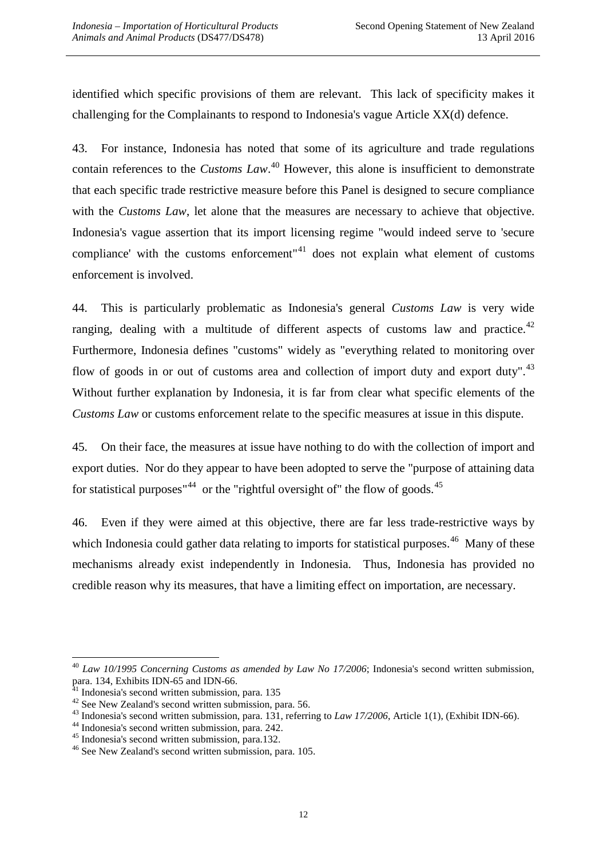identified which specific provisions of them are relevant. This lack of specificity makes it challenging for the Complainants to respond to Indonesia's vague Article XX(d) defence.

43. For instance, Indonesia has noted that some of its agriculture and trade regulations contain references to the *Customs Law*. [40](#page-12-0) However, this alone is insufficient to demonstrate that each specific trade restrictive measure before this Panel is designed to secure compliance with the *Customs Law*, let alone that the measures are necessary to achieve that objective. Indonesia's vague assertion that its import licensing regime "would indeed serve to 'secure compliance' with the customs enforcement"<sup>[41](#page-12-1)</sup> does not explain what element of customs enforcement is involved.

44. This is particularly problematic as Indonesia's general *Customs Law* is very wide ranging, dealing with a multitude of different aspects of customs law and practice.<sup>[42](#page-12-2)</sup> Furthermore, Indonesia defines "customs" widely as "everything related to monitoring over flow of goods in or out of customs area and collection of import duty and export duty".<sup>[43](#page-12-3)</sup> Without further explanation by Indonesia, it is far from clear what specific elements of the *Customs Law* or customs enforcement relate to the specific measures at issue in this dispute.

45. On their face, the measures at issue have nothing to do with the collection of import and export duties. Nor do they appear to have been adopted to serve the "purpose of attaining data for statistical purposes"<sup>[44](#page-12-4)</sup> or the "rightful oversight of" the flow of goods.<sup>[45](#page-12-5)</sup>

46. Even if they were aimed at this objective, there are far less trade-restrictive ways by which Indonesia could gather data relating to imports for statistical purposes.<sup>[46](#page-12-6)</sup> Many of these mechanisms already exist independently in Indonesia. Thus, Indonesia has provided no credible reason why its measures, that have a limiting effect on importation, are necessary.

<span id="page-12-0"></span><sup>&</sup>lt;sup>40</sup> *Law 10/1995 Concerning Customs as amended by Law No 17/2006*; Indonesia's second written submission, para. 134, Exhibits IDN-65 and IDN-66.<br><sup>41</sup> Indonesia's second written submission, para. 135

<span id="page-12-3"></span><span id="page-12-2"></span><span id="page-12-1"></span><sup>&</sup>lt;sup>42</sup> See New Zealand's second written submission, para. 56.<br><sup>43</sup> Indonesia's second written submission, para. 131, referring to *Law 17/2006*, Article 1(1), (Exhibit IDN-66).<br><sup>44</sup> Indonesia's second written submission, par

<span id="page-12-4"></span>

<span id="page-12-5"></span>

<span id="page-12-6"></span>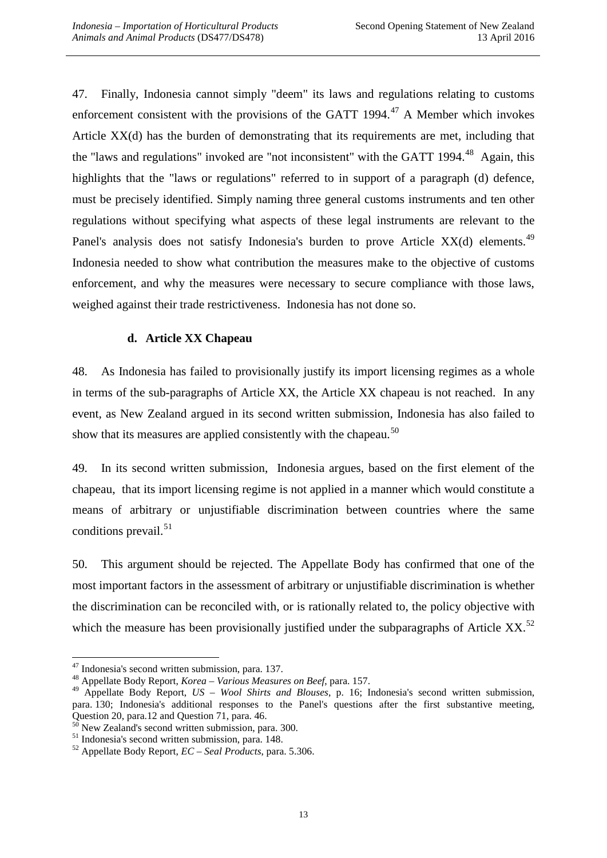47. Finally, Indonesia cannot simply "deem" its laws and regulations relating to customs enforcement consistent with the provisions of the GATT 1994. $47$  A Member which invokes Article XX(d) has the burden of demonstrating that its requirements are met, including that the "laws and regulations" invoked are "not inconsistent" with the GATT 1994.<sup>[48](#page-13-1)</sup> Again, this highlights that the "laws or regulations" referred to in support of a paragraph (d) defence, must be precisely identified. Simply naming three general customs instruments and ten other regulations without specifying what aspects of these legal instruments are relevant to the Panel's analysis does not satisfy Indonesia's burden to prove Article  $XX(d)$  elements.<sup>[49](#page-13-2)</sup> Indonesia needed to show what contribution the measures make to the objective of customs enforcement, and why the measures were necessary to secure compliance with those laws, weighed against their trade restrictiveness. Indonesia has not done so.

#### **d. Article XX Chapeau**

48. As Indonesia has failed to provisionally justify its import licensing regimes as a whole in terms of the sub-paragraphs of Article XX, the Article XX chapeau is not reached. In any event, as New Zealand argued in its second written submission, Indonesia has also failed to show that its measures are applied consistently with the chapeau.<sup>[50](#page-13-3)</sup>

49. In its second written submission, Indonesia argues, based on the first element of the chapeau, that its import licensing regime is not applied in a manner which would constitute a means of arbitrary or unjustifiable discrimination between countries where the same conditions prevail. $51$ 

50. This argument should be rejected. The Appellate Body has confirmed that one of the most important factors in the assessment of arbitrary or unjustifiable discrimination is whether the discrimination can be reconciled with, or is rationally related to, the policy objective with which the measure has been provisionally justified under the subparagraphs of Article XX.<sup>[52](#page-13-5)</sup>

<span id="page-13-0"></span><sup>47</sup> Indonesia's second written submission, para. 137. <sup>48</sup> Appellate Body Report, *Korea – Various Measures on Beef*, para. 157.

<span id="page-13-2"></span><span id="page-13-1"></span><sup>49</sup> Appellate Body Report, *US – Wool Shirts and Blouses*, p. 16; Indonesia's second written submission, para. 130; Indonesia's additional responses to the Panel's questions after the first substantive meeting, Question 20, para. 12 and Question 71, para. 46.

<span id="page-13-4"></span><span id="page-13-3"></span><sup>&</sup>lt;sup>50</sup> New Zealand's second written submission, para. 300.<br><sup>51</sup> Indonesia's second written submission, para. 148.<br><sup>52</sup> Appellate Body Report, *EC* – *Seal Products*, para. 5.306.

<span id="page-13-5"></span>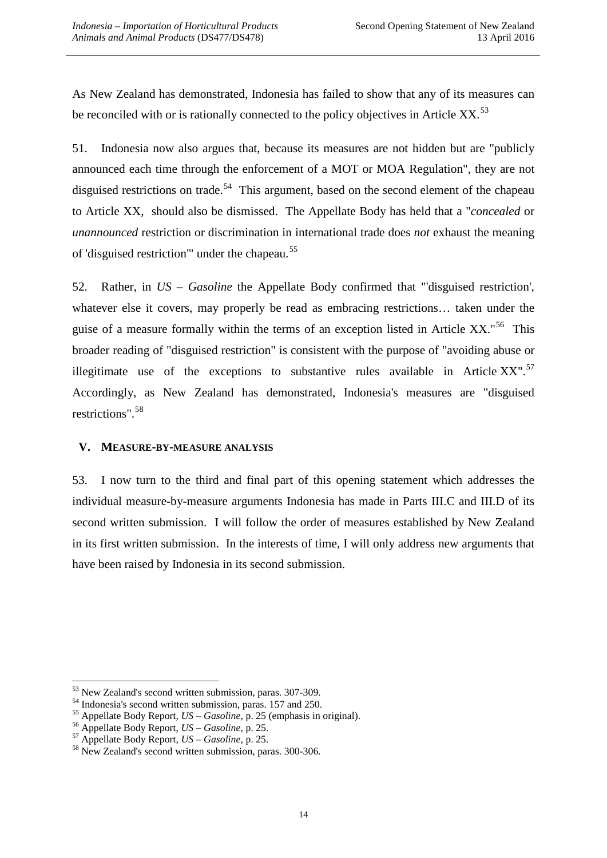As New Zealand has demonstrated, Indonesia has failed to show that any of its measures can be reconciled with or is rationally connected to the policy objectives in Article XX.<sup>[53](#page-14-0)</sup>

51. Indonesia now also argues that, because its measures are not hidden but are "publicly announced each time through the enforcement of a MOT or MOA Regulation", they are not disguised restrictions on trade.<sup>[54](#page-14-1)</sup> This argument, based on the second element of the chapeau to Article XX, should also be dismissed. The Appellate Body has held that a "*concealed* or *unannounced* restriction or discrimination in international trade does *not* exhaust the meaning of 'disguised restriction" under the chapeau.<sup>[55](#page-14-2)</sup>

52. Rather, in *US – Gasoline* the Appellate Body confirmed that "'disguised restriction', whatever else it covers, may properly be read as embracing restrictions... taken under the guise of a measure formally within the terms of an exception listed in Article XX.<sup>"[56](#page-14-3)</sup> This broader reading of "disguised restriction" is consistent with the purpose of "avoiding abuse or illegitimate use of the exceptions to substantive rules available in Article  $XX''$ .<sup>[57](#page-14-4)</sup> Accordingly, as New Zealand has demonstrated, Indonesia's measures are "disguised restrictions".[58](#page-14-5) 

#### **V. MEASURE-BY-MEASURE ANALYSIS**

53. I now turn to the third and final part of this opening statement which addresses the individual measure-by-measure arguments Indonesia has made in Parts III.C and III.D of its second written submission. I will follow the order of measures established by New Zealand in its first written submission. In the interests of time, I will only address new arguments that have been raised by Indonesia in its second submission.

<span id="page-14-1"></span><span id="page-14-0"></span><sup>&</sup>lt;sup>53</sup> New Zealand's second written submission, paras. 307-309.<br><sup>54</sup> Indonesia's second written submission, paras. 157 and 250.<br><sup>55</sup> Appellate Body Report, *US – Gasoline*, p. 25 (emphasis in original).<br><sup>56</sup> Appellate Body

<span id="page-14-3"></span><span id="page-14-2"></span>

<span id="page-14-4"></span>

<span id="page-14-5"></span>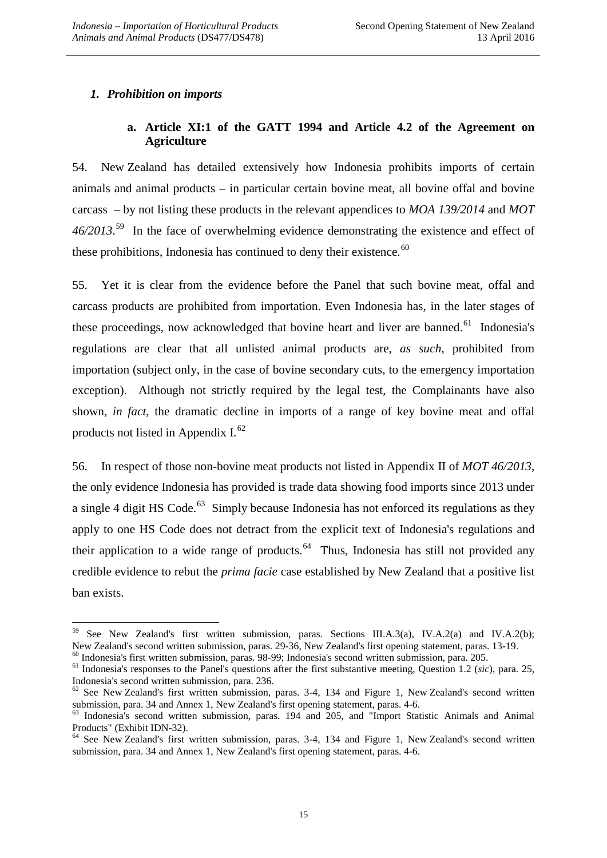#### *1. Prohibition on imports*

### **a. Article XI:1 of the GATT 1994 and Article 4.2 of the Agreement on Agriculture**

54. New Zealand has detailed extensively how Indonesia prohibits imports of certain animals and animal products *–* in particular certain bovine meat, all bovine offal and bovine carcass *–* by not listing these products in the relevant appendices to *MOA 139/2014* and *MOT 46/2013*. [59](#page-15-0) In the face of overwhelming evidence demonstrating the existence and effect of these prohibitions, Indonesia has continued to deny their existence. $60$ 

55. Yet it is clear from the evidence before the Panel that such bovine meat, offal and carcass products are prohibited from importation. Even Indonesia has, in the later stages of these proceedings, now acknowledged that bovine heart and liver are banned.<sup>61</sup> Indonesia's regulations are clear that all unlisted animal products are, *as such*, prohibited from importation (subject only, in the case of bovine secondary cuts, to the emergency importation exception). Although not strictly required by the legal test, the Complainants have also shown, *in fact*, the dramatic decline in imports of a range of key bovine meat and offal products not listed in Appendix I. $^{62}$ 

56. In respect of those non-bovine meat products not listed in Appendix II of *MOT 46/2013*, the only evidence Indonesia has provided is trade data showing food imports since 2013 under a single 4 digit HS Code.<sup>[63](#page-15-4)</sup> Simply because Indonesia has not enforced its regulations as they apply to one HS Code does not detract from the explicit text of Indonesia's regulations and their application to a wide range of products.<sup>[64](#page-15-5)</sup> Thus, Indonesia has still not provided any credible evidence to rebut the *prima facie* case established by New Zealand that a positive list ban exists.

<span id="page-15-0"></span><sup>&</sup>lt;sup>59</sup> See New Zealand's first written submission, paras. Sections III.A.3(a), IV.A.2(a) and IV.A.2(b);<br>New Zealand's second written submission, paras. 29-36, New Zealand's first opening statement, paras. 13-19.

<span id="page-15-1"></span> $^{60}$  Indonesia's first written submission, paras. 98-99; Indonesia's second written submission, para. 205.<br><sup>61</sup> Indonesia's responses to the Panel's questions after the first substantive meeting, Question 1.2 (sic), par

<span id="page-15-3"></span><span id="page-15-2"></span>Indonesia's second written submission, para. 236.<br>
<sup>62</sup> See New Zealand's first written submission, paras. 3-4, 134 and Figure 1, New Zealand's second written submission, para. 34 and Annex 1, New Zealand's first opening s

<span id="page-15-4"></span> $63$  Indonesia's second written submission, paras. 194 and 205, and "Import Statistic Animals and Animal Products" (Exhibit IDN-32).<br><sup>64</sup> See New Zealand's first written submission, paras. 3-4, 134 and Figure 1, New Zealand's second written

<span id="page-15-5"></span>submission, para. 34 and Annex 1, New Zealand's first opening statement, paras. 4-6.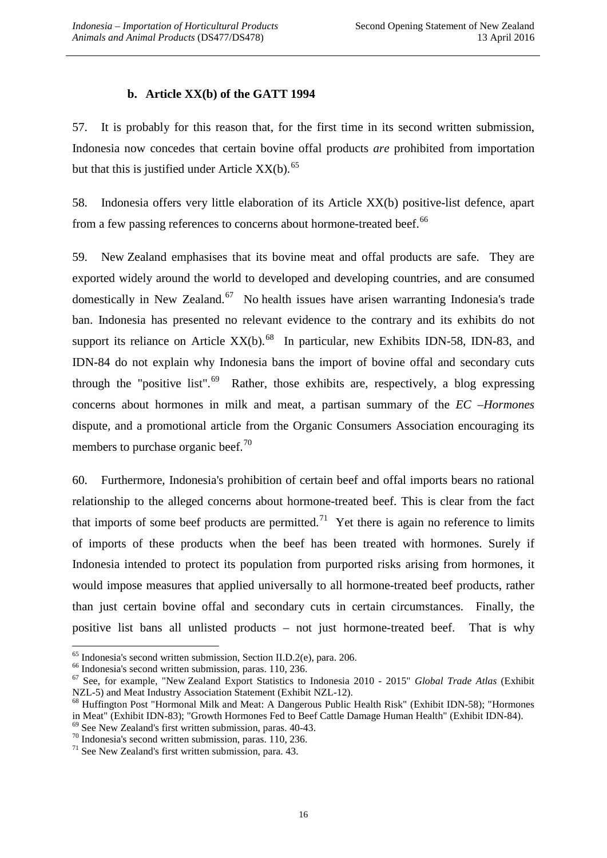#### **b. Article XX(b) of the GATT 1994**

57. It is probably for this reason that, for the first time in its second written submission, Indonesia now concedes that certain bovine offal products *are* prohibited from importation but that this is justified under Article  $XX(b)$ .<sup>[65](#page-16-0)</sup>

58. Indonesia offers very little elaboration of its Article XX(b) positive-list defence, apart from a few passing references to concerns about hormone-treated beef.<sup>[66](#page-16-1)</sup>

59. New Zealand emphasises that its bovine meat and offal products are safe. They are exported widely around the world to developed and developing countries, and are consumed domestically in New Zealand.<sup>[67](#page-16-2)</sup> No health issues have arisen warranting Indonesia's trade ban. Indonesia has presented no relevant evidence to the contrary and its exhibits do not support its reliance on Article  $XX(b)$ .<sup>68</sup> In particular, new Exhibits IDN-58, IDN-83, and IDN-84 do not explain why Indonesia bans the import of bovine offal and secondary cuts through the "positive list".<sup>[69](#page-16-4)</sup> Rather, those exhibits are, respectively, a blog expressing concerns about hormones in milk and meat, a partisan summary of the *EC –Hormones* dispute, and a promotional article from the Organic Consumers Association encouraging its members to purchase organic beef.<sup>[70](#page-16-5)</sup>

60. Furthermore, Indonesia's prohibition of certain beef and offal imports bears no rational relationship to the alleged concerns about hormone-treated beef. This is clear from the fact that imports of some beef products are permitted.<sup>[71](#page-16-6)</sup> Yet there is again no reference to limits of imports of these products when the beef has been treated with hormones. Surely if Indonesia intended to protect its population from purported risks arising from hormones, it would impose measures that applied universally to all hormone-treated beef products, rather than just certain bovine offal and secondary cuts in certain circumstances. Finally, the positive list bans all unlisted products – not just hormone-treated beef. That is why

<span id="page-16-1"></span>

<span id="page-16-0"></span><sup>&</sup>lt;sup>65</sup> Indonesia's second written submission, Section II.D.2(e), para. 206.<br><sup>66</sup> Indonesia's second written submission, paras. 110, 236.<br><sup>67</sup> See, for example, "New Zealand Export Statistics to Indonesia 2010 - 2015" *Globa* 

<span id="page-16-3"></span><span id="page-16-2"></span>NZL-5) and Meat Industry Association Statement (Exhibit NZL-12). <sup>68</sup> Huffington Post "Hormonal Milk and Meat: A Dangerous Public Health Risk" (Exhibit IDN-58); "Hormones in Meat" (Exhibit IDN-83); "Growth Hormones Fed to Beef Cattle Damage Human Health" (Exhibit IDN-84).<br><sup>69</sup> See New Zealand's first written submission, paras. 40-43.<br><sup>70</sup> Indonesia's second written submission, paras. 110,

<span id="page-16-5"></span><span id="page-16-4"></span>

<span id="page-16-6"></span>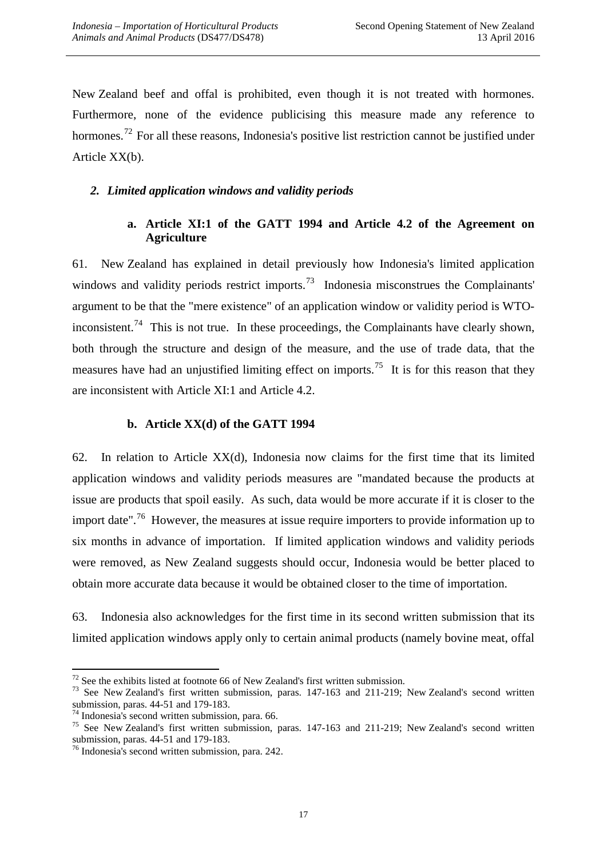New Zealand beef and offal is prohibited, even though it is not treated with hormones. Furthermore, none of the evidence publicising this measure made any reference to hormones.<sup>72</sup> For all these reasons, Indonesia's positive list restriction cannot be justified under Article XX(b).

#### *2. Limited application windows and validity periods*

### **a. Article XI:1 of the GATT 1994 and Article 4.2 of the Agreement on Agriculture**

61. New Zealand has explained in detail previously how Indonesia's limited application windows and validity periods restrict imports.<sup>73</sup> Indonesia misconstrues the Complainants' argument to be that the "mere existence" of an application window or validity period is WTO-inconsistent.<sup>[74](#page-17-2)</sup> This is not true. In these proceedings, the Complainants have clearly shown, both through the structure and design of the measure, and the use of trade data, that the measures have had an unjustified limiting effect on imports.<sup>75</sup> It is for this reason that they are inconsistent with Article XI:1 and Article 4.2.

#### **b. Article XX(d) of the GATT 1994**

62. In relation to Article XX(d), Indonesia now claims for the first time that its limited application windows and validity periods measures are "mandated because the products at issue are products that spoil easily. As such, data would be more accurate if it is closer to the import date".<sup>[76](#page-17-4)</sup> However, the measures at issue require importers to provide information up to six months in advance of importation. If limited application windows and validity periods were removed, as New Zealand suggests should occur, Indonesia would be better placed to obtain more accurate data because it would be obtained closer to the time of importation.

63. Indonesia also acknowledges for the first time in its second written submission that its limited application windows apply only to certain animal products (namely bovine meat, offal

<span id="page-17-1"></span><span id="page-17-0"></span><sup>&</sup>lt;sup>72</sup> See the exhibits listed at footnote 66 of New Zealand's first written submission.<br><sup>73</sup> See New Zealand's first written submission, paras. 147-163 and 211-219; New Zealand's second written submission, paras. 44-51 and

<span id="page-17-3"></span>

<span id="page-17-2"></span><sup>&</sup>lt;sup>74</sup> Indonesia's second written submission, para. 66.<br><sup>75</sup> See New Zealand's first written submission, paras. 147-163 and 211-219; New Zealand's second written submission, paras. 44-51 and 179-183.

<span id="page-17-4"></span> $<sup>76</sup>$  Indonesia's second written submission, para. 242.</sup>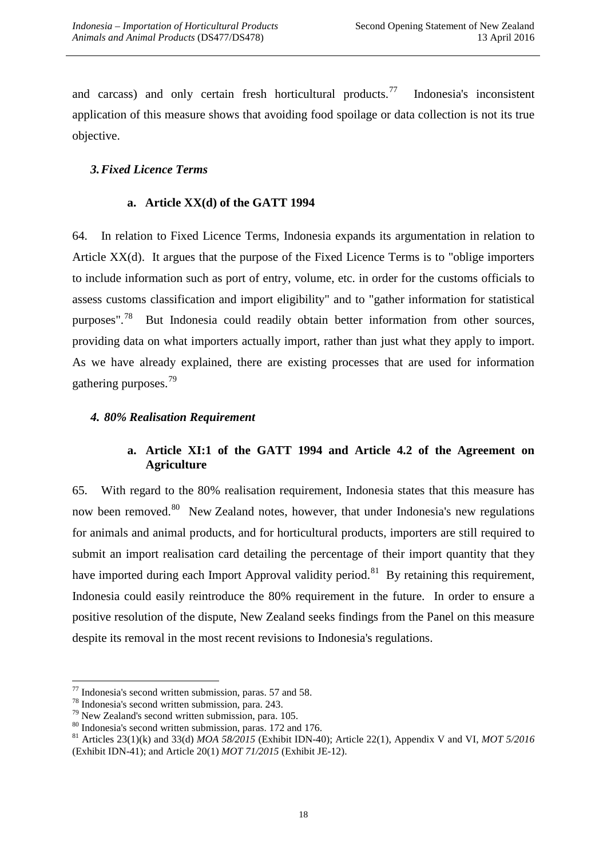and carcass) and only certain fresh horticultural products.<sup>[77](#page-18-0)</sup> Indonesia's inconsistent application of this measure shows that avoiding food spoilage or data collection is not its true objective.

#### *3.Fixed Licence Terms*

#### **a. Article XX(d) of the GATT 1994**

64. In relation to Fixed Licence Terms, Indonesia expands its argumentation in relation to Article XX(d). It argues that the purpose of the Fixed Licence Terms is to "oblige importers to include information such as port of entry, volume, etc. in order for the customs officials to assess customs classification and import eligibility" and to "gather information for statistical purposes".<sup>[78](#page-18-1)</sup> But Indonesia could readily obtain better information from other sources, providing data on what importers actually import, rather than just what they apply to import. As we have already explained, there are existing processes that are used for information gathering purposes.[79](#page-18-2)

#### *4. 80% Realisation Requirement*

### **a. Article XI:1 of the GATT 1994 and Article 4.2 of the Agreement on Agriculture**

65. With regard to the 80% realisation requirement, Indonesia states that this measure has now been removed.<sup>80</sup> New Zealand notes, however, that under Indonesia's new regulations for animals and animal products, and for horticultural products, importers are still required to submit an import realisation card detailing the percentage of their import quantity that they have imported during each Import Approval validity period.<sup>[81](#page-18-4)</sup> By retaining this requirement, Indonesia could easily reintroduce the 80% requirement in the future. In order to ensure a positive resolution of the dispute, New Zealand seeks findings from the Panel on this measure despite its removal in the most recent revisions to Indonesia's regulations.

<span id="page-18-1"></span>

<span id="page-18-2"></span>

<span id="page-18-4"></span><span id="page-18-3"></span>

<span id="page-18-0"></span><sup>&</sup>lt;sup>77</sup> Indonesia's second written submission, paras. 57 and 58.<br><sup>78</sup> Indonesia's second written submission, para. 243.<br><sup>79</sup> New Zealand's second written submission, para. 105.<br><sup>80</sup> Indonesia's second written submission, par (Exhibit IDN-41); and Article 20(1) *MOT 71/2015* (Exhibit JE-12).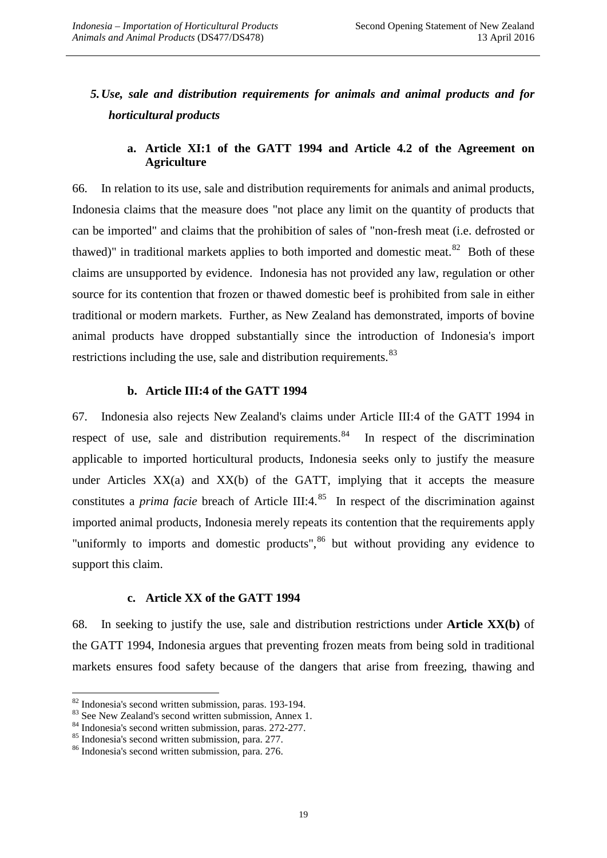# *5.Use, sale and distribution requirements for animals and animal products and for horticultural products*

#### **a. Article XI:1 of the GATT 1994 and Article 4.2 of the Agreement on Agriculture**

66. In relation to its use, sale and distribution requirements for animals and animal products, Indonesia claims that the measure does "not place any limit on the quantity of products that can be imported" and claims that the prohibition of sales of "non-fresh meat (i.e. defrosted or thawed)" in traditional markets applies to both imported and domestic meat. $82$  Both of these claims are unsupported by evidence. Indonesia has not provided any law, regulation or other source for its contention that frozen or thawed domestic beef is prohibited from sale in either traditional or modern markets. Further, as New Zealand has demonstrated, imports of bovine animal products have dropped substantially since the introduction of Indonesia's import restrictions including the use, sale and distribution requirements.<sup>[83](#page-19-1)</sup>

#### **b. Article III:4 of the GATT 1994**

67. Indonesia also rejects New Zealand's claims under Article III:4 of the GATT 1994 in respect of use, sale and distribution requirements.<sup>[84](#page-19-2)</sup> In respect of the discrimination applicable to imported horticultural products, Indonesia seeks only to justify the measure under Articles  $XX(a)$  and  $XX(b)$  of the GATT, implying that it accepts the measure constitutes a *prima facie* breach of Article III:4.<sup>[85](#page-19-3)</sup> In respect of the discrimination against imported animal products, Indonesia merely repeats its contention that the requirements apply "uniformly to imports and domestic products",  $86$  but without providing any evidence to support this claim.

#### **c. Article XX of the GATT 1994**

68. In seeking to justify the use, sale and distribution restrictions under **Article XX(b)** of the GATT 1994, Indonesia argues that preventing frozen meats from being sold in traditional markets ensures food safety because of the dangers that arise from freezing, thawing and

<span id="page-19-1"></span><span id="page-19-0"></span><sup>&</sup>lt;sup>82</sup> Indonesia's second written submission, paras. 193-194.<br><sup>83</sup> See New Zealand's second written submission, Annex 1.<br><sup>84</sup> Indonesia's second written submission, paras. 272-277.<br><sup>85</sup> Indonesia's second written submission

<span id="page-19-2"></span>

<span id="page-19-3"></span>

<span id="page-19-4"></span>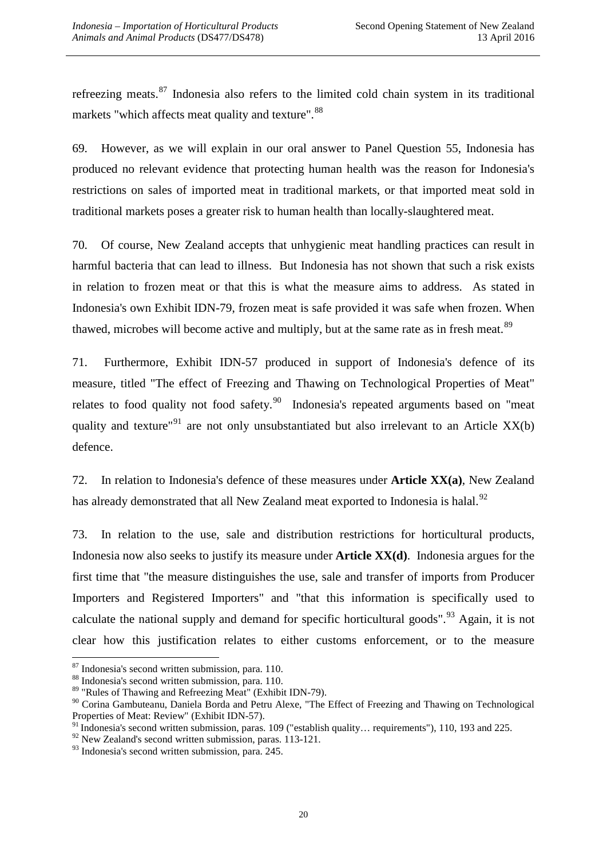refreezing meats.<sup>[87](#page-20-0)</sup> Indonesia also refers to the limited cold chain system in its traditional markets "which affects meat quality and texture". <sup>[88](#page-20-1)</sup>

69. However, as we will explain in our oral answer to Panel Question 55, Indonesia has produced no relevant evidence that protecting human health was the reason for Indonesia's restrictions on sales of imported meat in traditional markets, or that imported meat sold in traditional markets poses a greater risk to human health than locally-slaughtered meat.

70. Of course, New Zealand accepts that unhygienic meat handling practices can result in harmful bacteria that can lead to illness. But Indonesia has not shown that such a risk exists in relation to frozen meat or that this is what the measure aims to address. As stated in Indonesia's own Exhibit IDN-79, frozen meat is safe provided it was safe when frozen. When thawed, microbes will become active and multiply, but at the same rate as in fresh meat.<sup>[89](#page-20-2)</sup>

71. Furthermore, Exhibit IDN-57 produced in support of Indonesia's defence of its measure, titled "The effect of Freezing and Thawing on Technological Properties of Meat" relates to food quality not food safety.<sup>[90](#page-20-3)</sup> Indonesia's repeated arguments based on "meat quality and texture<sup>"[91](#page-20-4)</sup> are not only unsubstantiated but also irrelevant to an Article  $XX(b)$ defence.

72. In relation to Indonesia's defence of these measures under **Article XX(a)**, New Zealand has already demonstrated that all New Zealand meat exported to Indonesia is halal.<sup>[92](#page-20-5)</sup>

73. In relation to the use, sale and distribution restrictions for horticultural products, Indonesia now also seeks to justify its measure under **Article XX(d)**. Indonesia argues for the first time that "the measure distinguishes the use, sale and transfer of imports from Producer Importers and Registered Importers" and "that this information is specifically used to calculate the national supply and demand for specific horticultural goods".<sup>[93](#page-20-6)</sup> Again, it is not clear how this justification relates to either customs enforcement, or to the measure

<span id="page-20-1"></span>

<span id="page-20-0"></span><sup>&</sup>lt;sup>87</sup> Indonesia's second written submission, para. 110.<br><sup>88</sup> Indonesia's second written submission, para. 110.<br><sup>89</sup> "Rules of Thawing and Refreezing Meat" (Exhibit IDN-79).

<span id="page-20-3"></span><span id="page-20-2"></span><sup>&</sup>lt;sup>90</sup> Corina Gambuteanu, Daniela Borda and Petru Alexe, "The Effect of Freezing and Thawing on Technological Properties of Meat: Review" (Exhibit IDN-57).

<span id="page-20-4"></span> $<sup>91</sup>$  Indonesia's second written submission, paras. 109 ("establish quality... requirements"), 110, 193 and 225.</sup>

<span id="page-20-5"></span> $92$  New Zealand's second written submission, paras. 113-121.

<span id="page-20-6"></span><sup>93</sup> Indonesia's second written submission, para. 245.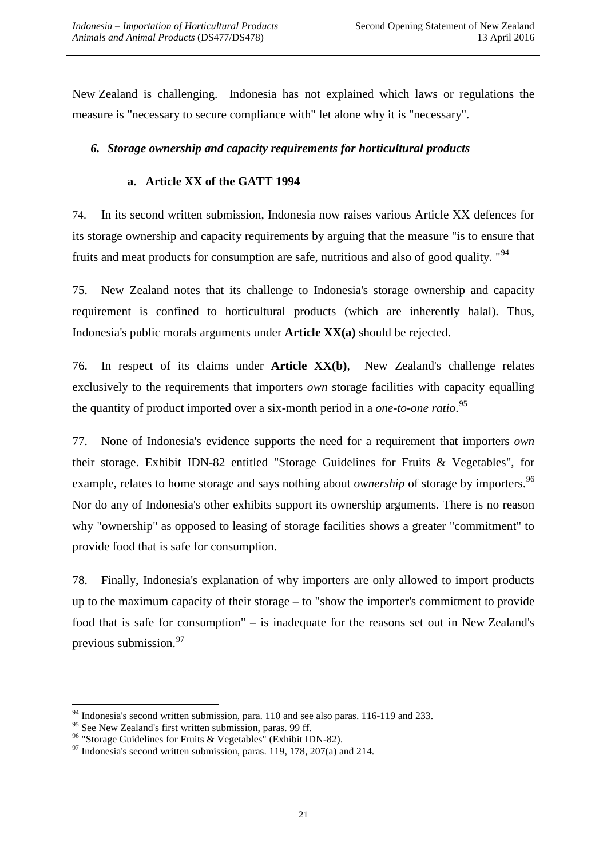New Zealand is challenging. Indonesia has not explained which laws or regulations the measure is "necessary to secure compliance with" let alone why it is "necessary".

#### *6. Storage ownership and capacity requirements for horticultural products*

#### **a. Article XX of the GATT 1994**

74. In its second written submission, Indonesia now raises various Article XX defences for its storage ownership and capacity requirements by arguing that the measure "is to ensure that fruits and meat products for consumption are safe, nutritious and also of good quality. "<sup>[94](#page-21-0)</sup>

75. New Zealand notes that its challenge to Indonesia's storage ownership and capacity requirement is confined to horticultural products (which are inherently halal). Thus, Indonesia's public morals arguments under **Article XX(a)** should be rejected.

76. In respect of its claims under **Article XX(b)**, New Zealand's challenge relates exclusively to the requirements that importers *own* storage facilities with capacity equalling the quantity of product imported over a six-month period in a *one-to-one ratio*. [95](#page-21-1)

77. None of Indonesia's evidence supports the need for a requirement that importers *own*  their storage. Exhibit IDN-82 entitled "Storage Guidelines for Fruits & Vegetables", for example, relates to home storage and says nothing about *ownership* of storage by importers.<sup>[96](#page-21-2)</sup> Nor do any of Indonesia's other exhibits support its ownership arguments. There is no reason why "ownership" as opposed to leasing of storage facilities shows a greater "commitment" to provide food that is safe for consumption.

78. Finally, Indonesia's explanation of why importers are only allowed to import products up to the maximum capacity of their storage – to "show the importer's commitment to provide food that is safe for consumption" – is inadequate for the reasons set out in New Zealand's previous submission.<sup>97</sup>

<span id="page-21-0"></span> $\frac{94}{95}$  Indonesia's second written submission, para. 110 and see also paras. 116-119 and 233.<br><sup>95</sup> See New Zealand's first written submission, paras. 99 ff.

<span id="page-21-3"></span><span id="page-21-2"></span><span id="page-21-1"></span><sup>&</sup>lt;sup>96</sup> "Storage Guidelines for Fruits & Vegetables" (Exhibit IDN-82).<br><sup>97</sup> Indonesia's second written submission, paras. 119, 178, 207(a) and 214.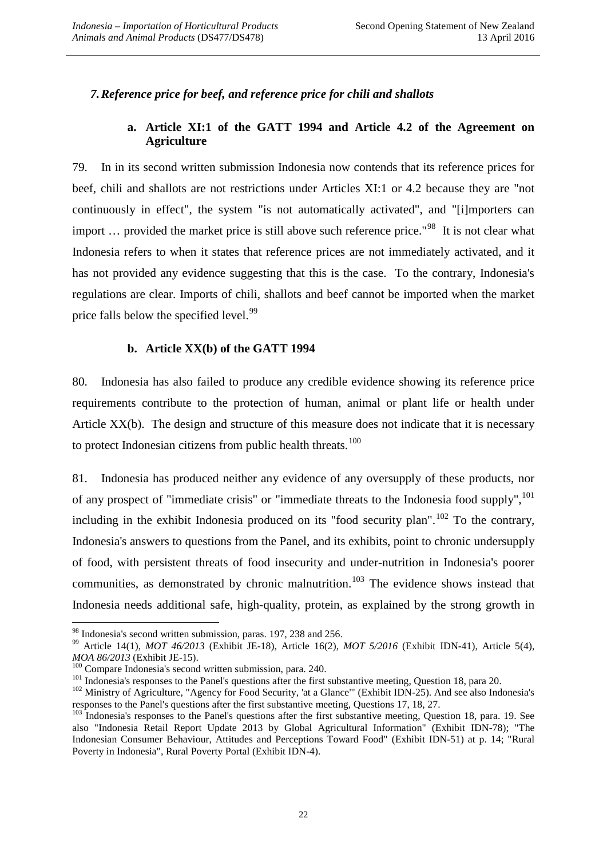#### *7.Reference price for beef, and reference price for chili and shallots*

#### **a. Article XI:1 of the GATT 1994 and Article 4.2 of the Agreement on Agriculture**

79. In in its second written submission Indonesia now contends that its reference prices for beef, chili and shallots are not restrictions under Articles XI:1 or 4.2 because they are "not continuously in effect", the system "is not automatically activated", and "[i]mporters can import ... provided the market price is still above such reference price."<sup>98</sup> It is not clear what Indonesia refers to when it states that reference prices are not immediately activated, and it has not provided any evidence suggesting that this is the case. To the contrary, Indonesia's regulations are clear. Imports of chili, shallots and beef cannot be imported when the market price falls below the specified level.<sup>[99](#page-22-1)</sup>

#### **b. Article XX(b) of the GATT 1994**

80. Indonesia has also failed to produce any credible evidence showing its reference price requirements contribute to the protection of human, animal or plant life or health under Article XX(b). The design and structure of this measure does not indicate that it is necessary to protect Indonesian citizens from public health threats. $100$ 

81. Indonesia has produced neither any evidence of any oversupply of these products, nor of any prospect of "immediate crisis" or "immediate threats to the Indonesia food supply", <sup>[101](#page-22-3)</sup> including in the exhibit Indonesia produced on its "food security plan".<sup>[102](#page-22-4)</sup> To the contrary, Indonesia's answers to questions from the Panel, and its exhibits, point to chronic undersupply of food, with persistent threats of food insecurity and under-nutrition in Indonesia's poorer communities, as demonstrated by chronic malnutrition.<sup>[103](#page-22-5)</sup> The evidence shows instead that Indonesia needs additional safe, high-quality, protein, as explained by the strong growth in

<span id="page-22-1"></span><span id="page-22-0"></span><sup>&</sup>lt;sup>98</sup> Indonesia's second written submission, paras. 197, 238 and 256.<br><sup>99</sup> Article 14(1), *MOT 46/2013* (Exhibit JE-18), Article 16(2), *MOT 5/2016* (Exhibit IDN-41), Article 5(4), *MOA 86/2013* (Exhibit JE-15).

<span id="page-22-4"></span><span id="page-22-3"></span>

<span id="page-22-2"></span><sup>&</sup>lt;sup>100</sup> Compare Indonesia's second written submission, para. 240.<br><sup>101</sup> Indonesia's responses to the Panel's questions after the first substantive meeting, Question 18, para 20.<br><sup>102</sup> Ministry of Agriculture, "Agency for Fo responses to the Panel's questions after the first substantive meeting, Questions 17, 18, 27.

<span id="page-22-5"></span><sup>&</sup>lt;sup>103</sup> Indonesia's responses to the Panel's questions after the first substantive meeting, Question 18, para. 19. See also "Indonesia Retail Report Update 2013 by Global Agricultural Information" (Exhibit IDN-78); "The Indonesian Consumer Behaviour, Attitudes and Perceptions Toward Food" (Exhibit IDN-51) at p. 14; "Rural Poverty in Indonesia", Rural Poverty Portal (Exhibit IDN-4).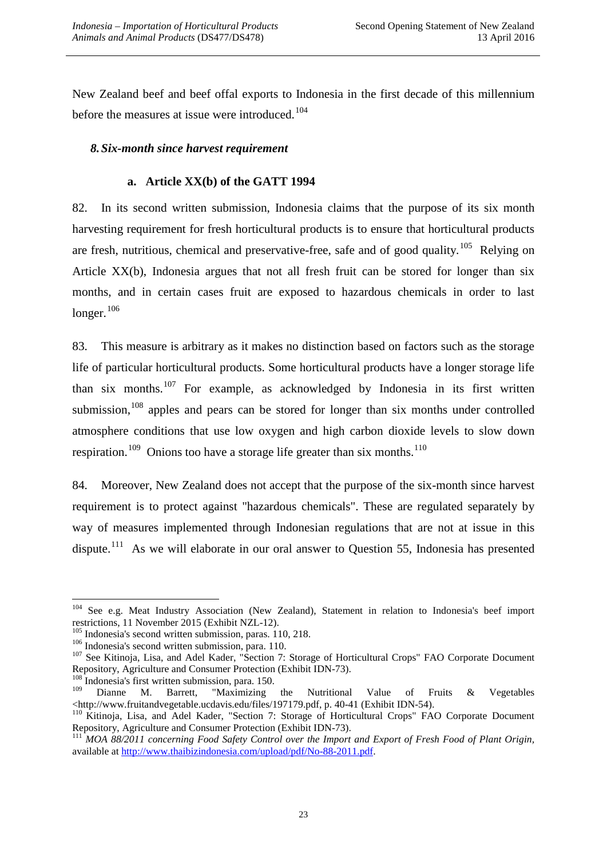New Zealand beef and beef offal exports to Indonesia in the first decade of this millennium before the measures at issue were introduced.<sup>[104](#page-23-0)</sup>

#### *8.Six-month since harvest requirement*

#### **a. Article XX(b) of the GATT 1994**

82. In its second written submission, Indonesia claims that the purpose of its six month harvesting requirement for fresh horticultural products is to ensure that horticultural products are fresh, nutritious, chemical and preservative-free, safe and of good quality.<sup>[105](#page-23-1)</sup> Relying on Article XX(b), Indonesia argues that not all fresh fruit can be stored for longer than six months, and in certain cases fruit are exposed to hazardous chemicals in order to last longer.<sup>[106](#page-23-2)</sup>

83. This measure is arbitrary as it makes no distinction based on factors such as the storage life of particular horticultural products. Some horticultural products have a longer storage life than six months.<sup>[107](#page-23-3)</sup> For example, as acknowledged by Indonesia in its first written submission, $108$  apples and pears can be stored for longer than six months under controlled atmosphere conditions that use low oxygen and high carbon dioxide levels to slow down respiration.<sup>[109](#page-23-5)</sup> Onions too have a storage life greater than six months.<sup>110</sup>

84. Moreover, New Zealand does not accept that the purpose of the six-month since harvest requirement is to protect against "hazardous chemicals". These are regulated separately by way of measures implemented through Indonesian regulations that are not at issue in this dispute.<sup>[111](#page-23-7)</sup> As we will elaborate in our oral answer to Question 55, Indonesia has presented

<span id="page-23-0"></span><sup>&</sup>lt;sup>104</sup> See e.g. Meat Industry Association (New Zealand), Statement in relation to Indonesia's beef import restrictions, 11 November 2015 (Exhibit NZL-12).<br><sup>105</sup> Indonesia's second written submission, paras. 110, 218.

<span id="page-23-1"></span>

<span id="page-23-3"></span><span id="page-23-2"></span><sup>&</sup>lt;sup>106</sup> Indonesia's second written submission, para. 110.<br><sup>107</sup> See Kitinoja, Lisa, and Adel Kader, "Section 7: Storage of Horticultural Crops" FAO Corporate Document<br>Repository, Agriculture and Consumer Protection (Exhibit

<span id="page-23-5"></span><span id="page-23-4"></span>

<sup>&</sup>lt;sup>108</sup> Indonesia's first written submission, para. 150.<br><sup>109</sup> Dianne M. Barrett, "Maximizing the Nutritional Value of Fruits & Vegetables <http://www.fruitandvegetable.ucdavis.edu/files/197179.pdf, p. 40-41 (Exhibit IDN-54

<span id="page-23-6"></span> $\frac{110}{110}$  Kitinoja, Lisa, and Adel Kader, "Section 7: Storage of Horticultural Crops" FAO Corporate Document Repository, Agriculture and Consumer Protection (Exhibit IDN-73).<br><sup>111</sup> *MOA 88/2011 concerning Food Safety Control over the Import and Export of Fresh Food of Plant Origin,* 

<span id="page-23-7"></span>available at [http://www.thaibizindonesia.com/upload/pdf/No-88-2011.pdf.](http://www.thaibizindonesia.com/upload/pdf/No-88-2011.pdf)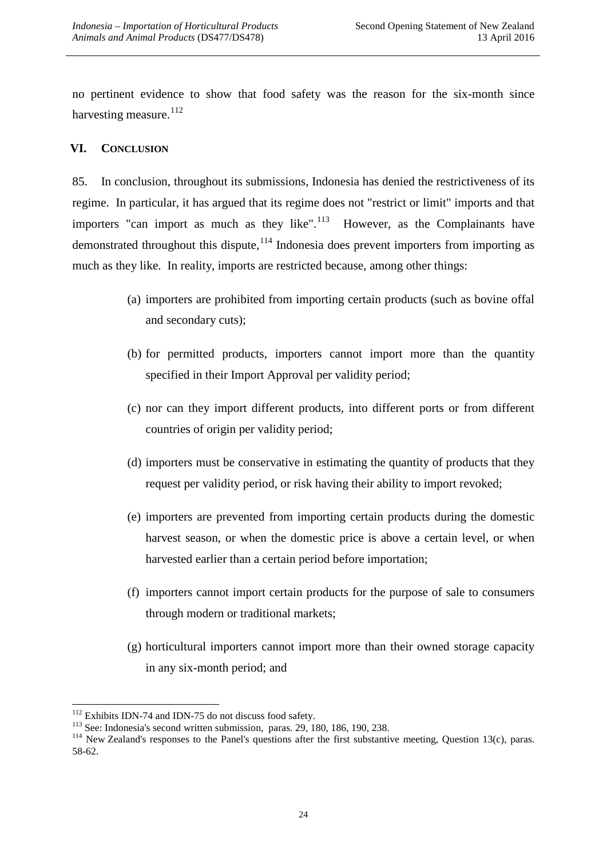no pertinent evidence to show that food safety was the reason for the six-month since harvesting measure.<sup>[112](#page-24-0)</sup>

### **VI. CONCLUSION**

85. In conclusion, throughout its submissions, Indonesia has denied the restrictiveness of its regime. In particular, it has argued that its regime does not "restrict or limit" imports and that importers "can import as much as they like". $113$  However, as the Complainants have demonstrated throughout this dispute, <sup>[114](#page-24-2)</sup> Indonesia does prevent importers from importing as much as they like. In reality, imports are restricted because, among other things:

- (a) importers are prohibited from importing certain products (such as bovine offal and secondary cuts);
- (b) for permitted products, importers cannot import more than the quantity specified in their Import Approval per validity period;
- (c) nor can they import different products, into different ports or from different countries of origin per validity period;
- (d) importers must be conservative in estimating the quantity of products that they request per validity period, or risk having their ability to import revoked;
- (e) importers are prevented from importing certain products during the domestic harvest season, or when the domestic price is above a certain level, or when harvested earlier than a certain period before importation;
- (f) importers cannot import certain products for the purpose of sale to consumers through modern or traditional markets;
- (g) horticultural importers cannot import more than their owned storage capacity in any six-month period; and

<span id="page-24-2"></span>

<span id="page-24-1"></span><span id="page-24-0"></span><sup>&</sup>lt;sup>112</sup> Exhibits IDN-74 and IDN-75 do not discuss food safety.<br><sup>113</sup> See: Indonesia's second written submission, paras. 29, 180, 186, 190, 238.<br><sup>114</sup> New Zealand's responses to the Panel's questions after the first substant 58-62.